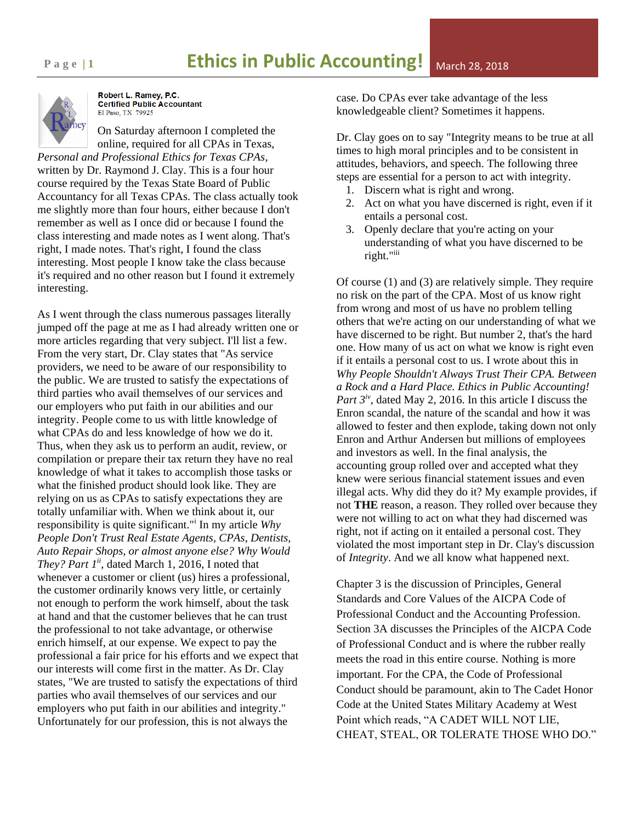

Robert L. Ramey, P.C. **Certified Public Accountant** El Paso, TX 79925

On Saturday afternoon I completed the online, required for all CPAs in Texas, *Personal and Professional Ethics for Texas CPAs*,

written by Dr. Raymond J. Clay. This is a four hour course required by the Texas State Board of Public Accountancy for all Texas CPAs. The class actually took me slightly more than four hours, either because I don't remember as well as I once did or because I found the class interesting and made notes as I went along. That's right, I made notes. That's right, I found the class interesting. Most people I know take the class because it's required and no other reason but I found it extremely interesting.

As I went through the class numerous passages literally jumped off the page at me as I had already written one or more articles regarding that very subject. I'll list a few. From the very start, Dr. Clay states that "As service providers, we need to be aware of our responsibility to the public. We are trusted to satisfy the expectations of third parties who avail themselves of our services and our employers who put faith in our abilities and our integrity. People come to us with little knowledge of what CPAs do and less knowledge of how we do it. Thus, when they ask us to perform an audit, review, or compilation or prepare their tax return they have no real knowledge of what it takes to accomplish those tasks or what the finished product should look like. They are relying on us as CPAs to satisfy expectations they are totally unfamiliar with. When we think about it, our responsibility is quite significant."<sup>i</sup> In my article *Why People Don't Trust Real Estate Agents, CPAs, Dentists, Auto Repair Shops, or almost anyone else? Why Would They? Part 1ii*, dated March 1, 2016, I noted that whenever a customer or client (us) hires a professional, the customer ordinarily knows very little, or certainly not enough to perform the work himself, about the task at hand and that the customer believes that he can trust the professional to not take advantage, or otherwise enrich himself, at our expense. We expect to pay the professional a fair price for his efforts and we expect that our interests will come first in the matter. As Dr. Clay states, "We are trusted to satisfy the expectations of third parties who avail themselves of our services and our employers who put faith in our abilities and integrity." Unfortunately for our profession, this is not always the

case. Do CPAs ever take advantage of the less knowledgeable client? Sometimes it happens.

Dr. Clay goes on to say "Integrity means to be true at all times to high moral principles and to be consistent in attitudes, behaviors, and speech. The following three steps are essential for a person to act with integrity.

- 1. Discern what is right and wrong.
- 2. Act on what you have discerned is right, even if it entails a personal cost.
- 3. Openly declare that you're acting on your understanding of what you have discerned to be right."iii

Of course (1) and (3) are relatively simple. They require no risk on the part of the CPA. Most of us know right from wrong and most of us have no problem telling others that we're acting on our understanding of what we have discerned to be right. But number 2, that's the hard one. How many of us act on what we know is right even if it entails a personal cost to us. I wrote about this in *Why People Shouldn't Always Trust Their CPA. Between a Rock and a Hard Place. Ethics in Public Accounting! Part 3iv*, dated May 2, 2016. In this article I discuss the Enron scandal, the nature of the scandal and how it was allowed to fester and then explode, taking down not only Enron and Arthur Andersen but millions of employees and investors as well. In the final analysis, the accounting group rolled over and accepted what they knew were serious financial statement issues and even illegal acts. Why did they do it? My example provides, if not **THE** reason, a reason. They rolled over because they were not willing to act on what they had discerned was right, not if acting on it entailed a personal cost. They violated the most important step in Dr. Clay's discussion of *Integrity*. And we all know what happened next.

Chapter 3 is the discussion of Principles, General Standards and Core Values of the AICPA Code of Professional Conduct and the Accounting Profession. Section 3A discusses the Principles of the AICPA Code of Professional Conduct and is where the rubber really meets the road in this entire course. Nothing is more important. For the CPA, the Code of Professional Conduct should be paramount, akin to The Cadet Honor Code at the United States Military Academy at West Point which reads, "A CADET WILL NOT LIE, CHEAT, STEAL, OR TOLERATE THOSE WHO DO."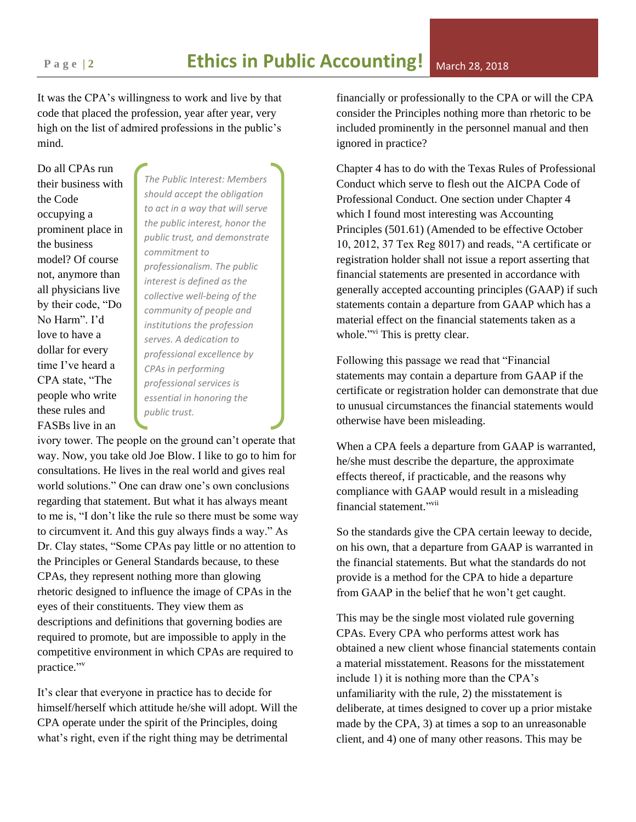It was the CPA's willingness to work and live by that code that placed the profession, year after year, very high on the list of admired professions in the public's mind.

Do all CPAs run their business with the Code occupying a prominent place in the business model? Of course not, anymore than all physicians live by their code, "Do No Harm". I'd love to have a dollar for every time I've heard a CPA state, "The people who write these rules and FASBs live in an

*The Public Interest: Members should accept the obligation to act in a way that will serve the public interest, honor the public trust, and demonstrate commitment to professionalism. The public interest is defined as the collective well-being of the community of people and institutions the profession serves. A dedication to professional excellence by CPAs in performing professional services is essential in honoring the public trust.*

ivory tower. The people on the ground can't operate that way. Now, you take old Joe Blow. I like to go to him for consultations. He lives in the real world and gives real world solutions." One can draw one's own conclusions regarding that statement. But what it has always meant to me is, "I don't like the rule so there must be some way to circumvent it. And this guy always finds a way." As Dr. Clay states, "Some CPAs pay little or no attention to the Principles or General Standards because, to these CPAs, they represent nothing more than glowing rhetoric designed to influence the image of CPAs in the eyes of their constituents. They view them as descriptions and definitions that governing bodies are required to promote, but are impossible to apply in the competitive environment in which CPAs are required to practice." v

It's clear that everyone in practice has to decide for himself/herself which attitude he/she will adopt. Will the CPA operate under the spirit of the Principles, doing what's right, even if the right thing may be detrimental

financially or professionally to the CPA or will the CPA consider the Principles nothing more than rhetoric to be included prominently in the personnel manual and then ignored in practice?

Chapter 4 has to do with the Texas Rules of Professional Conduct which serve to flesh out the AICPA Code of Professional Conduct. One section under Chapter 4 which I found most interesting was Accounting Principles (501.61) (Amended to be effective October 10, 2012, 37 Tex Reg 8017) and reads, "A certificate or registration holder shall not issue a report asserting that financial statements are presented in accordance with generally accepted accounting principles (GAAP) if such statements contain a departure from GAAP which has a material effect on the financial statements taken as a whole."<sup>vi</sup> This is pretty clear.

Following this passage we read that "Financial statements may contain a departure from GAAP if the certificate or registration holder can demonstrate that due to unusual circumstances the financial statements would otherwise have been misleading.

When a CPA feels a departure from GAAP is warranted, he/she must describe the departure, the approximate effects thereof, if practicable, and the reasons why compliance with GAAP would result in a misleading financial statement."<sup>vii</sup>

So the standards give the CPA certain leeway to decide, on his own, that a departure from GAAP is warranted in the financial statements. But what the standards do not provide is a method for the CPA to hide a departure from GAAP in the belief that he won't get caught.

This may be the single most violated rule governing CPAs. Every CPA who performs attest work has obtained a new client whose financial statements contain a material misstatement. Reasons for the misstatement include 1) it is nothing more than the CPA's unfamiliarity with the rule, 2) the misstatement is deliberate, at times designed to cover up a prior mistake made by the CPA, 3) at times a sop to an unreasonable client, and 4) one of many other reasons. This may be